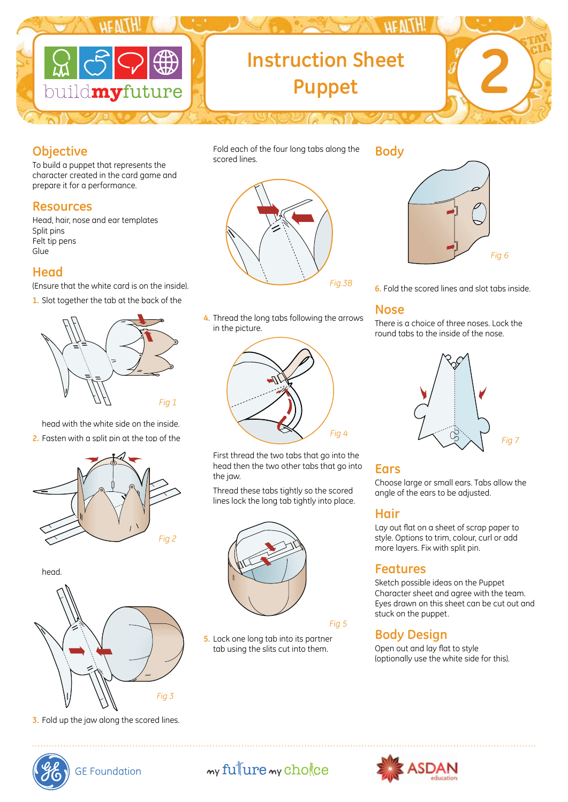

# **2 Instruction Sheet Puppet**

#### **Objective**

To build a puppet that represents the character created in the card game and prepare it for a performance.

#### **Resources**

Head, hair, nose and ear templates Split pins Felt tip pens Glue

### **Head**

(Ensure that the white card is on the inside).

**1.** Slot together the tab at the back of the



head with the white side on the inside. **2.** Fasten with a split pin at the top of the







**3.** Fold up the jaw along the scored lines.

*Fig.3B*

Fold each of the four long tabs along the

scored lines.

**4.** Thread the long tabs following the arrows in the picture.



 First thread the two tabs that go into the head then the two other tabs that go into the jaw.

 Thread these tabs tightly so the scored lines lock the long tab tightly into place.



#### *Fig 5*

**5.** Lock one long tab into its partner tab using the slits cut into them.

#### **Body**



**6.** Fold the scored lines and slot tabs inside.

#### **Nose**

There is a choice of three noses. Lock the round tabs to the inside of the nose.



#### **Ears**

Choose large or small ears. Tabs allow the angle of the ears to be adjusted.

#### **Hair**

Lay out flat on a sheet of scrap paper to style. Options to trim, colour, curl or add more layers. Fix with split pin.

#### **Features**

Sketch possible ideas on the Puppet Character sheet and agree with the team. Eyes drawn on this sheet can be cut out and stuck on the puppet.

## **Body Design**

Open out and lay flat to style (optionally use the white side for this).



**GE Foundation** 

# my fulure my chokee